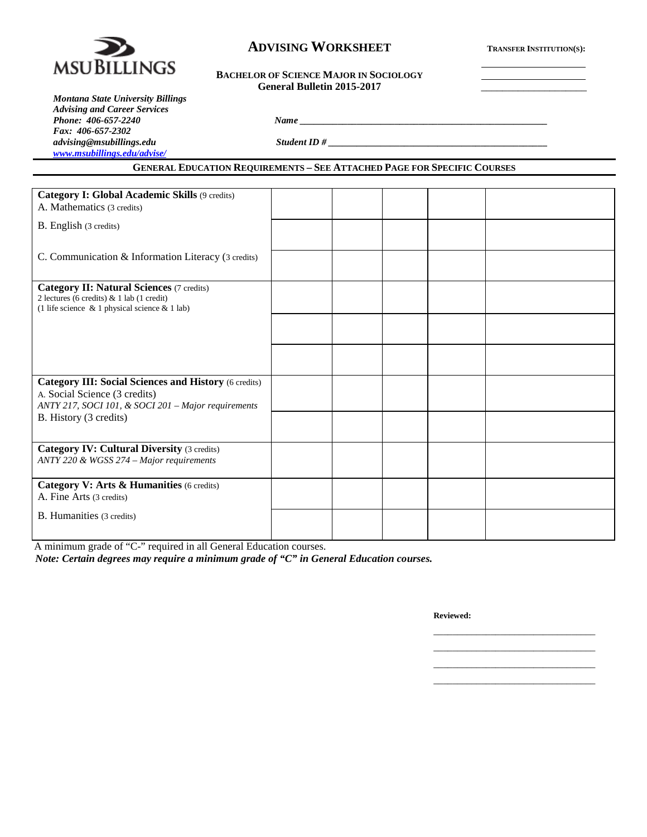

# **ADVISING WORKSHEET TRANSFER INSTITUTION(S):**

#### **BACHELOR OF SCIENCE MAJOR IN SOCIOLOGY** General Bulletin 2015-2017

*Montana State University Billings Advising and Career Services Phone: 406-657-2240 Name \_\_\_\_\_\_\_\_\_\_\_\_\_\_\_\_\_\_\_\_\_\_\_\_\_\_\_\_\_\_\_\_\_\_\_\_\_\_\_\_\_\_\_\_\_\_\_\_\_\_\_\_ Fax: 406-657-2302 [www.msubillings.edu/advise/](http://www.msubillings.edu/advise/)*

**GENERAL EDUCATION REQUIREMENTS – SEE ATTACHED PAGE FOR SPECIFIC COURSES**

*advising@msubillings.edu Student ID # \_\_\_\_\_\_\_\_\_\_\_\_\_\_\_\_\_\_\_\_\_\_\_\_\_\_\_\_\_\_\_\_\_\_\_\_\_\_\_\_\_\_\_\_\_\_*

| Category I: Global Academic Skills (9 credits)<br>A. Mathematics (3 credits)                                                                         |  |  |  |
|------------------------------------------------------------------------------------------------------------------------------------------------------|--|--|--|
| B. English (3 credits)                                                                                                                               |  |  |  |
| C. Communication & Information Literacy (3 credits)                                                                                                  |  |  |  |
| <b>Category II: Natural Sciences (7 credits)</b><br>2 lectures (6 credits) & 1 lab (1 credit)<br>(1 life science $\&$ 1 physical science $\&$ 1 lab) |  |  |  |
|                                                                                                                                                      |  |  |  |
|                                                                                                                                                      |  |  |  |
| <b>Category III: Social Sciences and History (6 credits)</b><br>A. Social Science (3 credits)<br>ANTY 217, SOCI 101, & SOCI 201 - Major requirements |  |  |  |
| B. History (3 credits)                                                                                                                               |  |  |  |
| <b>Category IV: Cultural Diversity (3 credits)</b><br>ANTY 220 & WGSS 274 - Major requirements                                                       |  |  |  |
| Category V: Arts & Humanities (6 credits)<br>A. Fine Arts (3 credits)                                                                                |  |  |  |
| B. Humanities (3 credits)                                                                                                                            |  |  |  |

A minimum grade of "C-" required in all General Education courses.

*Note: Certain degrees may require a minimum grade of "C" in General Education courses.*

**Reviewed:**

\_\_\_\_\_\_\_\_\_\_\_\_\_\_\_\_\_\_\_\_\_\_\_\_\_\_\_\_\_\_\_\_\_\_ \_\_\_\_\_\_\_\_\_\_\_\_\_\_\_\_\_\_\_\_\_\_\_\_\_\_\_\_\_\_\_\_\_\_ \_\_\_\_\_\_\_\_\_\_\_\_\_\_\_\_\_\_\_\_\_\_\_\_\_\_\_\_\_\_\_\_\_\_ \_\_\_\_\_\_\_\_\_\_\_\_\_\_\_\_\_\_\_\_\_\_\_\_\_\_\_\_\_\_\_\_\_\_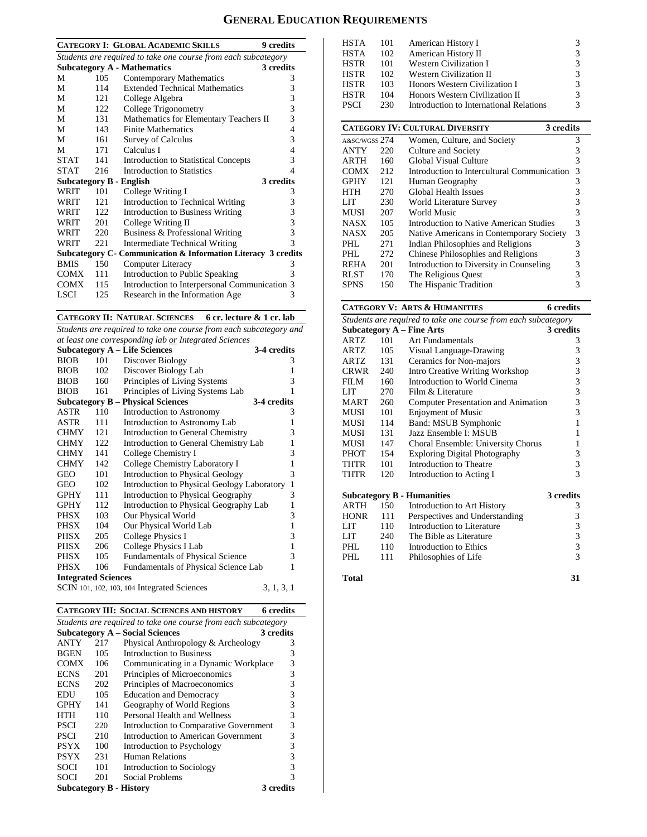# **GENERAL EDUCATION REQUIREMENTS**

|                                                                |     | <b>CATEGORY I: GLOBAL ACADEMIC SKILLS</b><br><b>9</b> credits |                |  |  |  |  |
|----------------------------------------------------------------|-----|---------------------------------------------------------------|----------------|--|--|--|--|
| Students are required to take one course from each subcategory |     |                                                               |                |  |  |  |  |
|                                                                |     | <b>Subcategory A - Mathematics</b><br>3 credits               |                |  |  |  |  |
| M                                                              | 105 | Contemporary Mathematics                                      | 3              |  |  |  |  |
| М                                                              | 114 | <b>Extended Technical Mathematics</b>                         | 3              |  |  |  |  |
| М                                                              | 121 | College Algebra                                               | 3              |  |  |  |  |
| М                                                              | 122 | College Trigonometry                                          | 3              |  |  |  |  |
| М                                                              | 131 | Mathematics for Elementary Teachers II                        | 3              |  |  |  |  |
| М                                                              | 143 | <b>Finite Mathematics</b>                                     | $\overline{4}$ |  |  |  |  |
| М                                                              | 161 | Survey of Calculus                                            | 3              |  |  |  |  |
| М                                                              | 171 | Calculus I                                                    | 4              |  |  |  |  |
| <b>STAT</b>                                                    | 141 | <b>Introduction to Statistical Concepts</b>                   | 3              |  |  |  |  |
| <b>STAT</b>                                                    | 216 | Introduction to Statistics                                    | $\overline{4}$ |  |  |  |  |
|                                                                |     | 3 credits<br>Subcategory B - English                          |                |  |  |  |  |
| WRIT                                                           | 101 | College Writing I                                             | 3              |  |  |  |  |
| WRIT                                                           | 121 | Introduction to Technical Writing                             | 3              |  |  |  |  |
| WRIT                                                           | 122 | <b>Introduction to Business Writing</b>                       | 3              |  |  |  |  |
| WRIT                                                           | 201 | College Writing II                                            | 3              |  |  |  |  |
| WRIT                                                           | 220 | Business & Professional Writing                               | $\overline{3}$ |  |  |  |  |
| WRIT                                                           | 221 | <b>Intermediate Technical Writing</b>                         | 3              |  |  |  |  |
| Subcategory C- Communication & Information Literacy 3 credits  |     |                                                               |                |  |  |  |  |
| <b>BMIS</b>                                                    | 150 | Computer Literacy                                             | 3              |  |  |  |  |
| COMX                                                           | 111 | Introduction to Public Speaking                               | 3              |  |  |  |  |
| <b>COMX</b>                                                    | 115 | Introduction to Interpersonal Communication 3                 |                |  |  |  |  |
| <b>LSCI</b>                                                    | 125 | Research in the Information Age                               | 3              |  |  |  |  |
|                                                                |     |                                                               |                |  |  |  |  |

#### **CATEGORY II: NATURAL SCIENCES 6 cr. lecture & 1 cr. lab**

*Students are required to take one course from each subcategory and at least one corresponding lab or Integrated Sciences*

|                            |     | <b>Subcategory A - Life Sciences</b>        | 3-4 credits |              |
|----------------------------|-----|---------------------------------------------|-------------|--------------|
| <b>BIOB</b>                | 101 | Discover Biology                            |             | 3            |
| <b>BIOB</b>                | 102 | Discover Biology Lab                        |             | 1            |
| <b>BIOB</b>                | 160 | Principles of Living Systems                |             | 3            |
| <b>BIOB</b>                | 161 | Principles of Living Systems Lab            |             | 1            |
|                            |     | <b>Subcategory B – Physical Sciences</b>    | 3-4 credits |              |
| ASTR                       | 110 | Introduction to Astronomy                   |             | 3            |
| ASTR                       | 111 | Introduction to Astronomy Lab               |             | 1            |
| <b>CHMY</b>                | 121 | Introduction to General Chemistry           |             | 3            |
| <b>CHMY</b>                | 122 | Introduction to General Chemistry Lab       |             | 1            |
| <b>CHMY</b>                | 141 | College Chemistry I                         |             | 3            |
| <b>CHMY</b>                | 142 | College Chemistry Laboratory I              |             | 1            |
| GEO                        | 101 | Introduction to Physical Geology            |             | 3            |
| GEO                        | 102 | Introduction to Physical Geology Laboratory |             | $\mathbf{1}$ |
| <b>GPHY</b>                | 111 | Introduction to Physical Geography          |             | 3            |
| <b>GPHY</b>                | 112 | Introduction to Physical Geography Lab      |             | 1            |
| PHSX                       | 103 | Our Physical World                          |             | 3            |
| PHSX                       | 104 | Our Physical World Lab                      |             | $\mathbf{1}$ |
| PHSX                       | 205 | College Physics I                           |             | 3            |
| PHSX                       | 206 | College Physics I Lab                       |             | $\mathbf{1}$ |
| PHSX                       | 105 | <b>Fundamentals of Physical Science</b>     |             | 3            |
| <b>PHSX</b>                | 106 | Fundamentals of Physical Science Lab        |             | 1            |
| <b>Integrated Sciences</b> |     |                                             |             |              |
|                            |     | SCIN 101, 102, 103, 104 Integrated Sciences | 3, 1, 3, 1  |              |

|                                |     | <b>CATEGORY III: SOCIAL SCIENCES AND HISTORY</b>               | 6 credits |
|--------------------------------|-----|----------------------------------------------------------------|-----------|
|                                |     | Students are required to take one course from each subcategory |           |
|                                |     | <b>Subcategory A - Social Sciences</b>                         | 3 credits |
| ANTY                           | 217 | Physical Anthropology & Archeology                             | 3         |
| <b>BGEN</b>                    | 105 | Introduction to Business                                       | 3         |
| <b>COMX</b>                    | 106 | Communicating in a Dynamic Workplace                           | 3         |
| <b>ECNS</b>                    | 201 | Principles of Microeconomics                                   | 3         |
| <b>ECNS</b>                    | 202 | Principles of Macroeconomics                                   | 3         |
| EDU                            | 105 | <b>Education and Democracy</b>                                 | 3         |
| <b>GPHY</b>                    | 141 | Geography of World Regions                                     | 3         |
| <b>HTH</b>                     | 110 | Personal Health and Wellness                                   | 3         |
| PSCI                           | 220 | Introduction to Comparative Government                         | 3         |
| PSCI                           | 210 | Introduction to American Government                            | 3         |
| <b>PSYX</b>                    | 100 | Introduction to Psychology                                     | 3         |
| <b>PSYX</b>                    | 231 | Human Relations                                                | 3         |
| <b>SOCI</b>                    | 101 | Introduction to Sociology                                      | 3         |
| SOCI                           | 201 | Social Problems                                                | 3         |
| <b>Subcategory B - History</b> |     |                                                                | 3 credits |

| HSTA          | 101 | American History I                                  | 3                       |
|---------------|-----|-----------------------------------------------------|-------------------------|
| <b>HSTA</b>   | 102 | American History II                                 | 3                       |
| <b>HSTR</b>   | 101 | <b>Western Civilization I</b>                       | 3                       |
| <b>HSTR</b>   | 102 | <b>Western Civilization II</b>                      | 3                       |
| <b>HSTR</b>   | 103 | Honors Western Civilization I                       | 3                       |
| <b>HSTR</b>   | 104 | Honors Western Civilization II                      | 3                       |
| <b>PSCI</b>   | 230 | Introduction to International Relations             | 3                       |
|               |     |                                                     |                         |
|               |     | <b>CATEGORY IV: CULTURAL DIVERSITY</b><br>3 credits |                         |
| A&SC/WGSS 274 |     | Women, Culture, and Society                         | 3                       |
| <b>ANTY</b>   | 220 | Culture and Society                                 | 3                       |
| ARTH          | 160 | Global Visual Culture                               | 3                       |
| COMX          | 212 | Introduction to Intercultural Communication         | 3                       |
| <b>GPHY</b>   | 121 | Human Geography                                     | 3                       |
| HTH           | 270 | Global Health Issues                                | 3                       |
| LIT           | 230 | World Literature Survey                             | 3                       |
| MUSI          | 207 | World Music                                         | 3                       |
| NASX          | 105 | Introduction to Native American Studies             | 3                       |
| NASX          | 205 | Native Americans in Contemporary Society            | 3                       |
| PHL           | 271 | Indian Philosophies and Religions                   | $\overline{\mathbf{3}}$ |
| PHI.          | 272 | Chinese Philosophies and Religions                  | 3                       |
| REHA          | 201 | Introduction to Diversity in Counseling             | 3                       |
| <b>RLST</b>   | 170 | The Religious Quest                                 | $\frac{3}{3}$           |
| <b>SPNS</b>   | 150 | The Hispanic Tradition                              |                         |

The Hispanic Tradition

# **CATEGORY V: ARTS & HUMANITIES 6 credits**

|                                                                |           | CATEGORY V: ARTS & HUMANITIES          | o creants      |  |  |  |  |  |
|----------------------------------------------------------------|-----------|----------------------------------------|----------------|--|--|--|--|--|
| Students are required to take one course from each subcategory |           |                                        |                |  |  |  |  |  |
| <b>Subcategory A - Fine Arts</b>                               | 3 credits |                                        |                |  |  |  |  |  |
| ARTZ                                                           | 101       | Art Fundamentals                       | 3              |  |  |  |  |  |
| ARTZ                                                           | 105       | Visual Language-Drawing                | 3              |  |  |  |  |  |
| ARTZ                                                           | 131       | Ceramics for Non-majors                | 3              |  |  |  |  |  |
| <b>CRWR</b>                                                    | 240       | <b>Intro Creative Writing Workshop</b> | 3              |  |  |  |  |  |
| FILM                                                           | 160       | Introduction to World Cinema           | 3              |  |  |  |  |  |
| LIT                                                            | 270       | Film & Literature                      | 3              |  |  |  |  |  |
| MART                                                           | 260       | Computer Presentation and Animation    | 3              |  |  |  |  |  |
| MUSI                                                           | 101       | <b>Enjoyment of Music</b>              | 3              |  |  |  |  |  |
| MUSI                                                           | 114       | Band: MSUB Symphonic                   | $\mathbf{1}$   |  |  |  |  |  |
| MUSI                                                           | 131       | Jazz Ensemble I: MSUB                  | 1              |  |  |  |  |  |
| MUSI                                                           | 147       | Choral Ensemble: University Chorus     | $\mathbf{1}$   |  |  |  |  |  |
| PHOT                                                           | 154       | <b>Exploring Digital Photography</b>   | 3              |  |  |  |  |  |
| THTR                                                           | 101       | Introduction to Theatre                | 3              |  |  |  |  |  |
| THTR                                                           | 120       | Introduction to Acting I               | $\overline{3}$ |  |  |  |  |  |
|                                                                |           | <b>Subcategory B - Humanities</b>      | 3 credits      |  |  |  |  |  |
| <b>ARTH</b>                                                    | 150       | Introduction to Art History            | 3              |  |  |  |  |  |
| <b>HONR</b>                                                    | 111       | Perspectives and Understanding         | 3              |  |  |  |  |  |
| LIT                                                            | 110       | Introduction to Literature             | 3              |  |  |  |  |  |
| LIT                                                            | 240       | The Bible as Literature                | 3              |  |  |  |  |  |
| PHI.                                                           | 110       | Introduction to Ethics                 | 3              |  |  |  |  |  |
| PHI.                                                           | 111       | Philosophies of Life                   | 3              |  |  |  |  |  |
|                                                                |           |                                        |                |  |  |  |  |  |

| <b>Total</b> |  | 31 |
|--------------|--|----|
|              |  |    |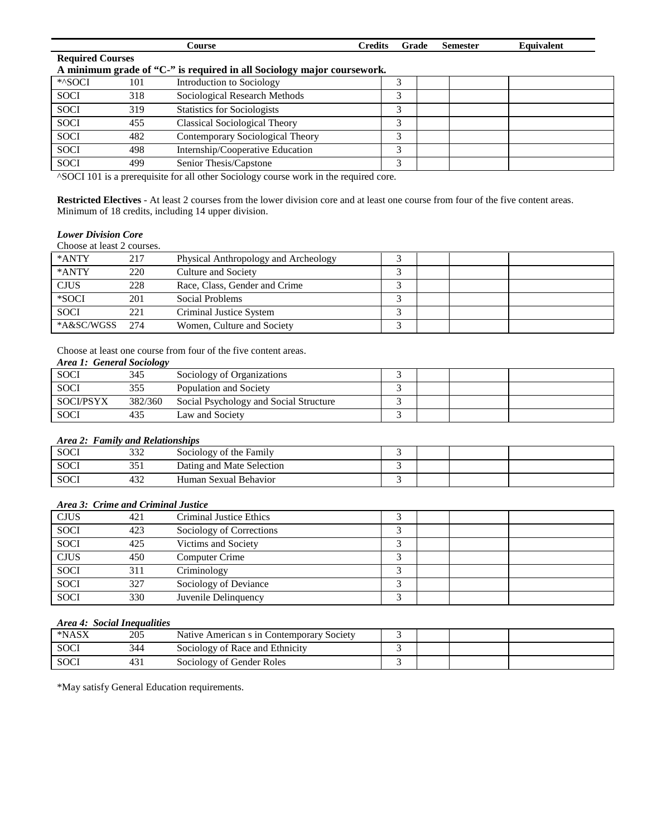|             |                                                                        | Course                               | <b>Credits</b> | Grade | <b>Semester</b> | Equivalent |  |  |  |  |
|-------------|------------------------------------------------------------------------|--------------------------------------|----------------|-------|-----------------|------------|--|--|--|--|
|             | <b>Required Courses</b>                                                |                                      |                |       |                 |            |  |  |  |  |
|             | A minimum grade of "C-" is required in all Sociology major coursework. |                                      |                |       |                 |            |  |  |  |  |
| *^SOCI      | 101                                                                    | Introduction to Sociology            |                |       |                 |            |  |  |  |  |
| <b>SOCI</b> | 318                                                                    | Sociological Research Methods        |                | 3     |                 |            |  |  |  |  |
| <b>SOCI</b> | 319                                                                    | <b>Statistics for Sociologists</b>   |                | 3     |                 |            |  |  |  |  |
| <b>SOCI</b> | 455                                                                    | <b>Classical Sociological Theory</b> |                | 3     |                 |            |  |  |  |  |
| <b>SOCI</b> | 482                                                                    | Contemporary Sociological Theory     |                | 3     |                 |            |  |  |  |  |
| <b>SOCI</b> | 498                                                                    | Internship/Cooperative Education     |                | 3     |                 |            |  |  |  |  |
| <b>SOCI</b> | 499                                                                    | Senior Thesis/Capstone               |                | 3     |                 |            |  |  |  |  |
|             |                                                                        |                                      |                |       |                 |            |  |  |  |  |

^SOCI 101 is a prerequisite for all other Sociology course work in the required core.

**Restricted Electives** - At least 2 courses from the lower division core and at least one course from four of the five content areas. Minimum of 18 credits, including 14 upper division.

### *Lower Division Core*

| Choose at least 2 courses. |      |                                      |  |  |
|----------------------------|------|--------------------------------------|--|--|
| *ANTY                      | 217  | Physical Anthropology and Archeology |  |  |
| *ANTY                      | 220  | Culture and Society                  |  |  |
| <b>CJUS</b>                | 228  | Race, Class, Gender and Crime        |  |  |
| *SOCI                      | 201  | Social Problems                      |  |  |
| <b>SOCI</b>                | 221  | Criminal Justice System              |  |  |
| *A&SC/WGSS                 | 2.74 | Women, Culture and Society           |  |  |

Choose at least one course from four of the five content areas. *Area 1: General Sociology*

| Area 1. General Sociology |         |                                        |  |  |
|---------------------------|---------|----------------------------------------|--|--|
| <b>SOCI</b>               | 345     | Sociology of Organizations             |  |  |
| SOCI                      | 355     | Population and Society                 |  |  |
| <b>SOCI/PSYX</b>          | 382/360 | Social Psychology and Social Structure |  |  |
| <b>SOCI</b>               |         | Law and Society                        |  |  |

#### *Area 2: Family and Relationships*

| <b>SOCI</b> | $\sim$<br>ے دد | Sociology of the Family   |  |  |
|-------------|----------------|---------------------------|--|--|
| <b>SOCI</b> | 351            | Dating and Mate Selection |  |  |
| <b>SOCI</b> | $\sim$<br>432  | Human Sexual Behavior     |  |  |

#### *Area 3: Crime and Criminal Justice*

| <b>CJUS</b> | 421 | Criminal Justice Ethics  | ╭ |  |  |
|-------------|-----|--------------------------|---|--|--|
| <b>SOCI</b> | 423 | Sociology of Corrections |   |  |  |
| <b>SOCI</b> | 425 | Victims and Society      | ╭ |  |  |
| <b>CJUS</b> | 450 | Computer Crime           |   |  |  |
| <b>SOCI</b> | 311 | Criminology              | ╭ |  |  |
| <b>SOCI</b> | 327 | Sociology of Deviance    |   |  |  |
| <b>SOCI</b> | 330 | Juvenile Delinquency     |   |  |  |

# *Area 4: Social Inequalities*

| *NASX       | 205 | Native American s in Contemporary Society |  |  |
|-------------|-----|-------------------------------------------|--|--|
| SOCI        | 344 | Sociology of Race and Ethnicity           |  |  |
| <b>SOCI</b> | 431 | Sociology of Gender Roles                 |  |  |

\*May satisfy General Education requirements.